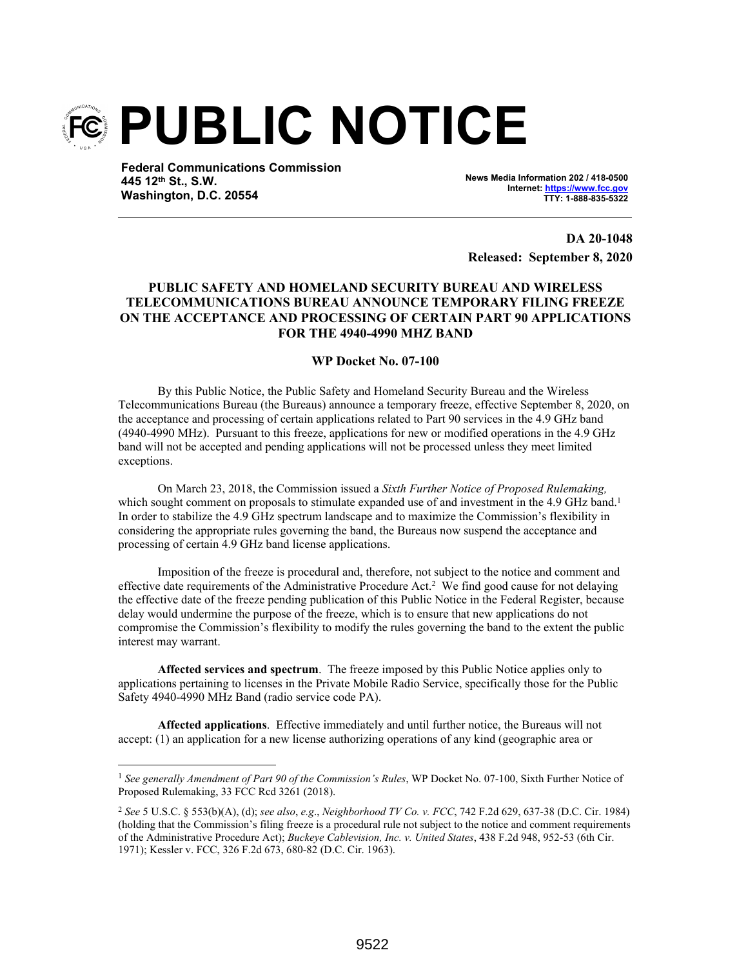

**Federal Communications Commission 445 12th St., S.W. Washington, D.C. 20554**

**News Media Information 202 / 418-0500 Internet: https://www.fcc.gov TTY: 1-888-835-5322**

**DA 20-1048 Released: September 8, 2020**

## **PUBLIC SAFETY AND HOMELAND SECURITY BUREAU AND WIRELESS TELECOMMUNICATIONS BUREAU ANNOUNCE TEMPORARY FILING FREEZE ON THE ACCEPTANCE AND PROCESSING OF CERTAIN PART 90 APPLICATIONS FOR THE 4940-4990 MHZ BAND**

## **WP Docket No. 07-100**

By this Public Notice, the Public Safety and Homeland Security Bureau and the Wireless Telecommunications Bureau (the Bureaus) announce a temporary freeze, effective September 8, 2020, on the acceptance and processing of certain applications related to Part 90 services in the 4.9 GHz band (4940-4990 MHz). Pursuant to this freeze, applications for new or modified operations in the 4.9 GHz band will not be accepted and pending applications will not be processed unless they meet limited exceptions.

On March 23, 2018, the Commission issued a *Sixth Further Notice of Proposed Rulemaking,* which sought comment on proposals to stimulate expanded use of and investment in the 4.9 GHz band.<sup>1</sup> In order to stabilize the 4.9 GHz spectrum landscape and to maximize the Commission's flexibility in considering the appropriate rules governing the band, the Bureaus now suspend the acceptance and processing of certain 4.9 GHz band license applications.

Imposition of the freeze is procedural and, therefore, not subject to the notice and comment and effective date requirements of the Administrative Procedure Act.<sup>2</sup> We find good cause for not delaying the effective date of the freeze pending publication of this Public Notice in the Federal Register, because delay would undermine the purpose of the freeze, which is to ensure that new applications do not compromise the Commission's flexibility to modify the rules governing the band to the extent the public interest may warrant.

**Affected services and spectrum**. The freeze imposed by this Public Notice applies only to applications pertaining to licenses in the Private Mobile Radio Service, specifically those for the Public Safety 4940-4990 MHz Band (radio service code PA).

**Affected applications**. Effective immediately and until further notice, the Bureaus will not accept: (1) an application for a new license authorizing operations of any kind (geographic area or

<sup>1</sup> *See generally Amendment of Part 90 of the Commission's Rules*, WP Docket No. 07-100, Sixth Further Notice of Proposed Rulemaking, 33 FCC Rcd 3261 (2018).

<sup>2</sup> *See* 5 U.S.C. § 553(b)(A), (d); *see also*, *e.g*., *Neighborhood TV Co. v. FCC*, 742 F.2d 629, 637-38 (D.C. Cir. 1984) (holding that the Commission's filing freeze is a procedural rule not subject to the notice and comment requirements of the Administrative Procedure Act); *Buckeye Cablevision, Inc. v. United States*, 438 F.2d 948, 952-53 (6th Cir. 1971); Kessler v. FCC, 326 F.2d 673, 680-82 (D.C. Cir. 1963).